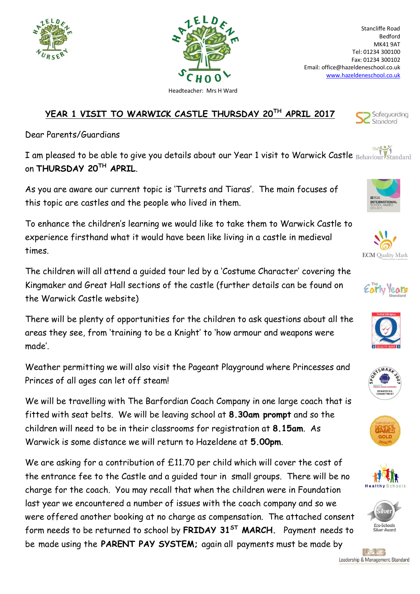

Leadership & Management Standard





Dear Parents/Guardians

I am pleased to be able to give you details about our Year 1 visit to Warwick Castle Behaviour Standard on **THURSDAY 20TH APRIL**.

As you are aware our current topic is 'Turrets and Tiaras'. The main focuses of this topic are castles and the people who lived in them.

To enhance the children's learning we would like to take them to Warwick Castle to experience firsthand what it would have been like living in a castle in medieval times.

The children will all attend a guided tour led by a 'Costume Character' covering the Kingmaker and Great Hall sections of the castle (further details can be found on the Warwick Castle website)

There will be plenty of opportunities for the children to ask questions about all the areas they see, from 'training to be a Knight' to 'how armour and weapons were made'.

Weather permitting we will also visit the Pageant Playground where Princesses and Princes of all ages can let off steam!

We will be travelling with The Barfordian Coach Company in one large coach that is fitted with seat belts. We will be leaving school at **8.30am prompt** and so the children will need to be in their classrooms for registration at **8.15am**. As Warwick is some distance we will return to Hazeldene at **5.00pm**.

We are asking for a contribution of £11.70 per child which will cover the cost of the entrance fee to the Castle and a guided tour in small groups. There will be no charge for the coach. You may recall that when the children were in Foundation last year we encountered a number of issues with the coach company and so we were offered another booking at no charge as compensation. The attached consent form needs to be returned to school by **FRIDAY 31ST MARCH.** Payment needs to be made using the **PARENT PAY SYSTEM;** again all payments must be made by

## **IELD**





Standard

Stancliffe Road Bedford MK41 9AT Tel: 01234 300100 Fax: 01234 300102